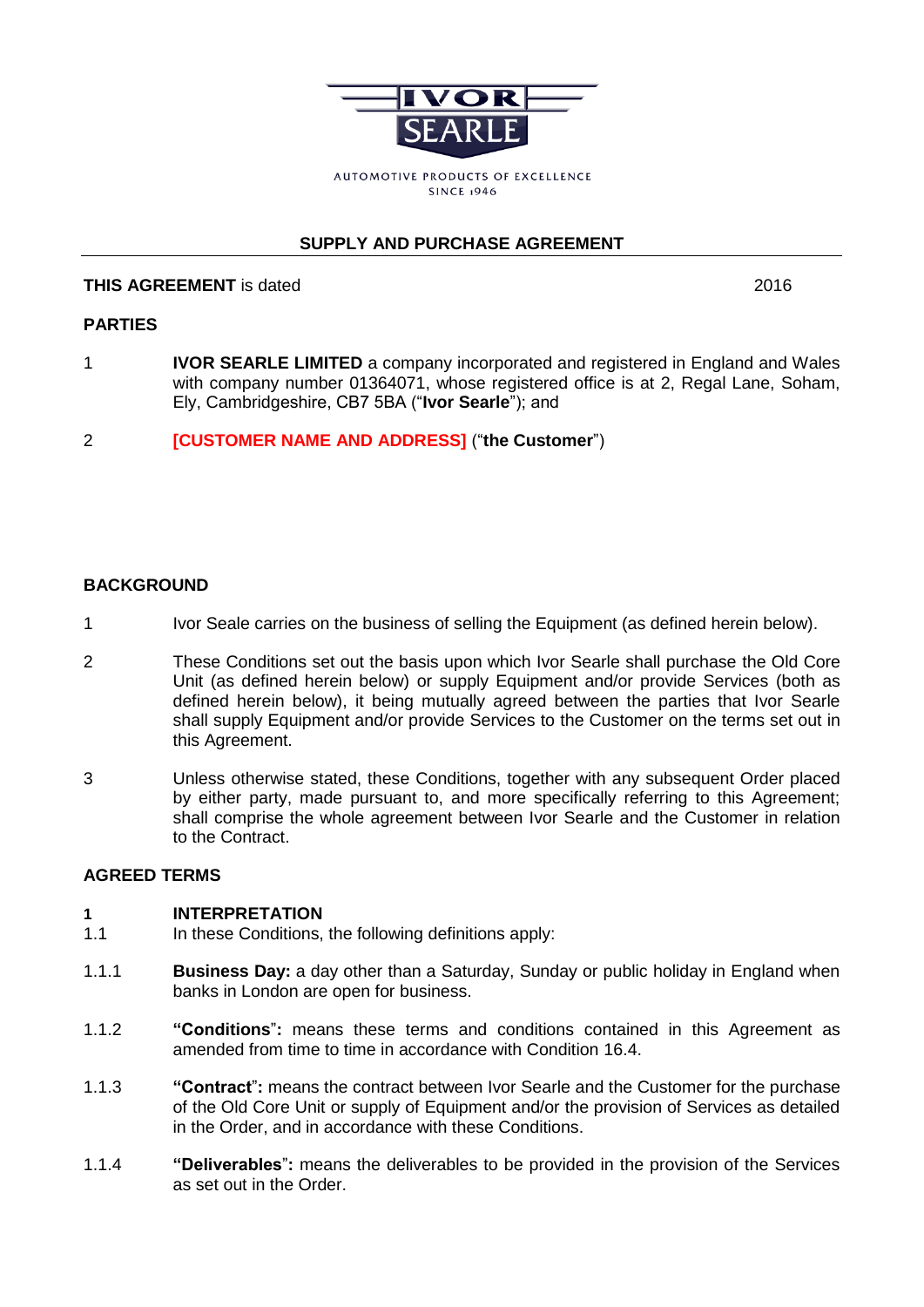

# **SUPPLY AND PURCHASE AGREEMENT**

# **THIS AGREEMENT** is dated **2016** 2016

# **PARTIES**

- 1 **IVOR SEARLE LIMITED** a company incorporated and registered in England and Wales with company number 01364071, whose registered office is at 2, Regal Lane, Soham, Ely, Cambridgeshire, CB7 5BA ("**Ivor Searle**"); and
- 2 **[CUSTOMER NAME AND ADDRESS]** ("**the Customer**")

## **BACKGROUND**

- 1 Ivor Seale carries on the business of selling the Equipment (as defined herein below).
- 2 These Conditions set out the basis upon which Ivor Searle shall purchase the Old Core Unit (as defined herein below) or supply Equipment and/or provide Services (both as defined herein below), it being mutually agreed between the parties that Ivor Searle shall supply Equipment and/or provide Services to the Customer on the terms set out in this Agreement.
- 3 Unless otherwise stated, these Conditions, together with any subsequent Order placed by either party, made pursuant to, and more specifically referring to this Agreement; shall comprise the whole agreement between Ivor Searle and the Customer in relation to the Contract.

## **AGREED TERMS**

### **1 INTERPRETATION**

- 1.1 In these Conditions, the following definitions apply:
- 1.1.1 **Business Day:** a day other than a Saturday, Sunday or public holiday in England when banks in London are open for business.
- 1.1.2 **"Conditions**"**:** means these terms and conditions contained in this Agreement as amended from time to time in accordance with Condition [16.4.](#page-10-0)
- 1.1.3 **"Contract**"**:** means the contract between Ivor Searle and the Customer for the purchase of the Old Core Unit or supply of Equipment and/or the provision of Services as detailed in the Order, and in accordance with these Conditions.
- 1.1.4 **"Deliverables**"**:** means the deliverables to be provided in the provision of the Services as set out in the Order.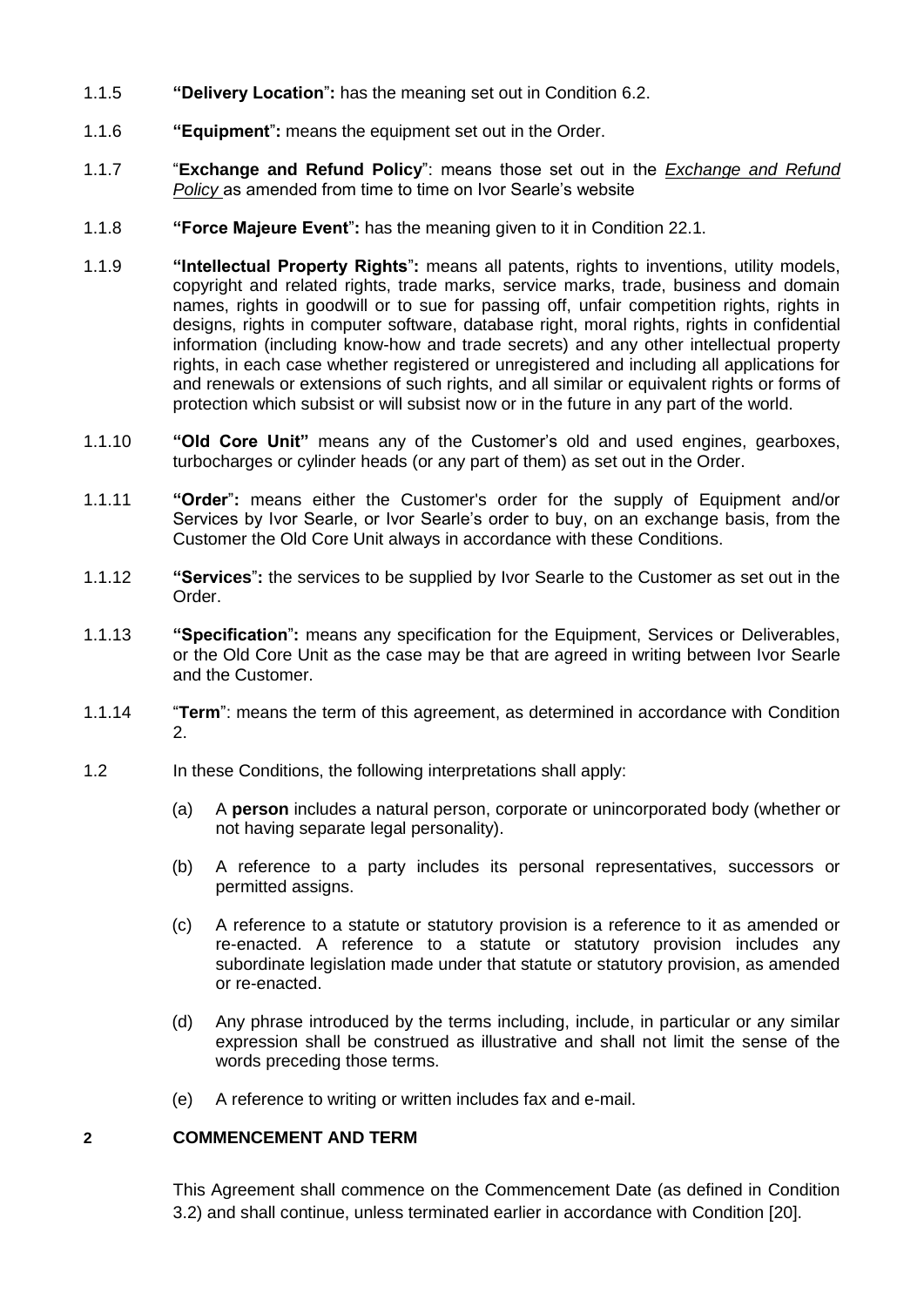- 1.1.5 **"Delivery Location**"**:** has the meaning set out in Condition [6.2.](#page-3-0)
- 1.1.6 **"Equipment**"**:** means the equipment set out in the Order.
- 1.1.7 "**Exchange and Refund Policy**": means those set out in the *Exchange and Refund Policy* as amended from time to time on Ivor Searle's website
- 1.1.8 **"Force Majeure Event**"**:** has the meaning given to it in Condition [22.1.](#page-12-0)
- 1.1.9 **"Intellectual Property Rights**"**:** means all patents, rights to inventions, utility models, copyright and related rights, trade marks, service marks, trade, business and domain names, rights in goodwill or to sue for passing off, unfair competition rights, rights in designs, rights in computer software, database right, moral rights, rights in confidential information (including know-how and trade secrets) and any other intellectual property rights, in each case whether registered or unregistered and including all applications for and renewals or extensions of such rights, and all similar or equivalent rights or forms of protection which subsist or will subsist now or in the future in any part of the world.
- 1.1.10 **"Old Core Unit"** means any of the Customer's old and used engines, gearboxes, turbocharges or cylinder heads (or any part of them) as set out in the Order.
- 1.1.11 **"Order**"**:** means either the Customer's order for the supply of Equipment and/or Services by Ivor Searle, or Ivor Searle's order to buy, on an exchange basis, from the Customer the Old Core Unit always in accordance with these Conditions.
- 1.1.12 **"Services**"**:** the services to be supplied by Ivor Searle to the Customer as set out in the Order.
- 1.1.13 **"Specification**"**:** means any specification for the Equipment, Services or Deliverables, or the Old Core Unit as the case may be that are agreed in writing between Ivor Searle and the Customer.
- 1.1.14 "**Term**": means the term of this agreement, as determined in accordance with Condition 2.
- 1.2 In these Conditions, the following interpretations shall apply:
	- (a) A **person** includes a natural person, corporate or unincorporated body (whether or not having separate legal personality).
	- (b) A reference to a party includes its personal representatives, successors or permitted assigns.
	- (c) A reference to a statute or statutory provision is a reference to it as amended or re-enacted. A reference to a statute or statutory provision includes any subordinate legislation made under that statute or statutory provision, as amended or re-enacted.
	- (d) Any phrase introduced by the terms including, include, in particular or any similar expression shall be construed as illustrative and shall not limit the sense of the words preceding those terms.
	- (e) A reference to writing or written includes fax and e-mail.

## **2 COMMENCEMENT AND TERM**

This Agreement shall commence on the Commencement Date (as defined in Condition 3.2) and shall continue, unless terminated earlier in accordance with Condition [20].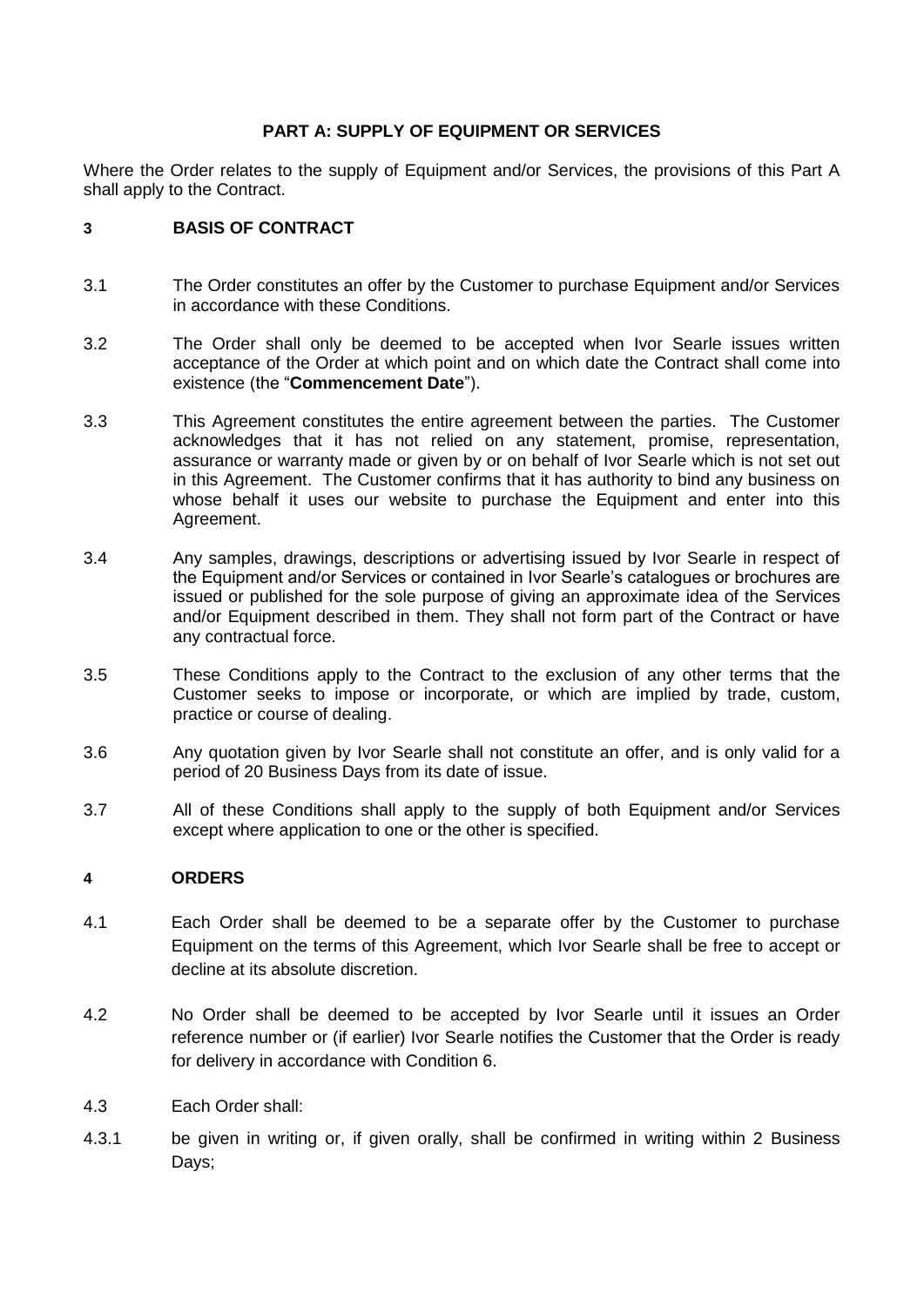# **PART A: SUPPLY OF EQUIPMENT OR SERVICES**

Where the Order relates to the supply of Equipment and/or Services, the provisions of this Part A shall apply to the Contract.

## **3 BASIS OF CONTRACT**

- 3.1 The Order constitutes an offer by the Customer to purchase Equipment and/or Services in accordance with these Conditions.
- 3.2 The Order shall only be deemed to be accepted when Ivor Searle issues written acceptance of the Order at which point and on which date the Contract shall come into existence (the "**Commencement Date**").
- 3.3 This Agreement constitutes the entire agreement between the parties. The Customer acknowledges that it has not relied on any statement, promise, representation, assurance or warranty made or given by or on behalf of Ivor Searle which is not set out in this Agreement. The Customer confirms that it has authority to bind any business on whose behalf it uses our website to purchase the Equipment and enter into this Agreement.
- 3.4 Any samples, drawings, descriptions or advertising issued by Ivor Searle in respect of the Equipment and/or Services or contained in Ivor Searle's catalogues or brochures are issued or published for the sole purpose of giving an approximate idea of the Services and/or Equipment described in them. They shall not form part of the Contract or have any contractual force.
- 3.5 These Conditions apply to the Contract to the exclusion of any other terms that the Customer seeks to impose or incorporate, or which are implied by trade, custom, practice or course of dealing.
- 3.6 Any quotation given by Ivor Searle shall not constitute an offer, and is only valid for a period of 20 Business Days from its date of issue.
- 3.7 All of these Conditions shall apply to the supply of both Equipment and/or Services except where application to one or the other is specified.

# **4 ORDERS**

- 4.1 Each Order shall be deemed to be a separate offer by the Customer to purchase Equipment on the terms of this Agreement, which Ivor Searle shall be free to accept or decline at its absolute discretion.
- 4.2 No Order shall be deemed to be accepted by Ivor Searle until it issues an Order reference number or (if earlier) Ivor Searle notifies the Customer that the Order is ready for delivery in accordance with Condition 6.
- 4.3 Each Order shall:
- 4.3.1 be given in writing or, if given orally, shall be confirmed in writing within 2 Business Days;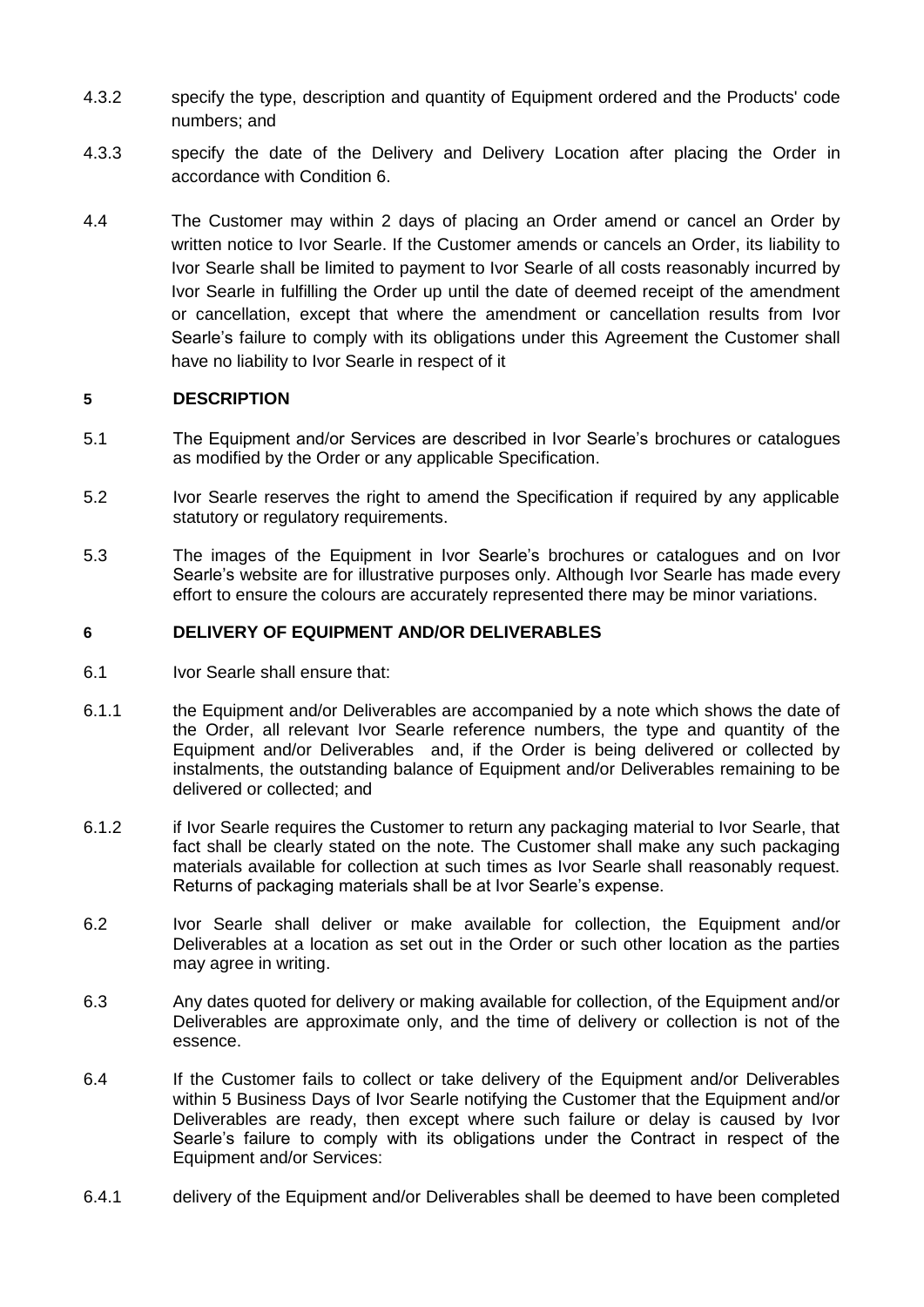- 4.3.2 specify the type, description and quantity of Equipment ordered and the Products' code numbers; and
- 4.3.3 specify the date of the Delivery and Delivery Location after placing the Order in accordance with Condition 6.
- 4.4 The Customer may within 2 days of placing an Order amend or cancel an Order by written notice to Ivor Searle. If the Customer amends or cancels an Order, its liability to Ivor Searle shall be limited to payment to Ivor Searle of all costs reasonably incurred by Ivor Searle in fulfilling the Order up until the date of deemed receipt of the amendment or cancellation, except that where the amendment or cancellation results from Ivor Searle's failure to comply with its obligations under this Agreement the Customer shall have no liability to Ivor Searle in respect of it

## **5 DESCRIPTION**

- 5.1 The Equipment and/or Services are described in Ivor Searle's brochures or catalogues as modified by the Order or any applicable Specification.
- 5.2 Ivor Searle reserves the right to amend the Specification if required by any applicable statutory or regulatory requirements.
- 5.3 The images of the Equipment in Ivor Searle's brochures or catalogues and on Ivor Searle's website are for illustrative purposes only. Although Ivor Searle has made every effort to ensure the colours are accurately represented there may be minor variations.

## **6 DELIVERY OF EQUIPMENT AND/OR DELIVERABLES**

- 6.1 Ivor Searle shall ensure that:
- 6.1.1 the Equipment and/or Deliverables are accompanied by a note which shows the date of the Order, all relevant Ivor Searle reference numbers, the type and quantity of the Equipment and/or Deliverables and, if the Order is being delivered or collected by instalments, the outstanding balance of Equipment and/or Deliverables remaining to be delivered or collected; and
- 6.1.2 if Ivor Searle requires the Customer to return any packaging material to Ivor Searle, that fact shall be clearly stated on the note. The Customer shall make any such packaging materials available for collection at such times as Ivor Searle shall reasonably request. Returns of packaging materials shall be at Ivor Searle's expense.
- <span id="page-3-0"></span>6.2 Ivor Searle shall deliver or make available for collection, the Equipment and/or Deliverables at a location as set out in the Order or such other location as the parties may agree in writing.
- 6.3 Any dates quoted for delivery or making available for collection, of the Equipment and/or Deliverables are approximate only, and the time of delivery or collection is not of the essence.
- 6.4 If the Customer fails to collect or take delivery of the Equipment and/or Deliverables within 5 Business Days of Ivor Searle notifying the Customer that the Equipment and/or Deliverables are ready, then except where such failure or delay is caused by Ivor Searle's failure to comply with its obligations under the Contract in respect of the Equipment and/or Services:
- 6.4.1 delivery of the Equipment and/or Deliverables shall be deemed to have been completed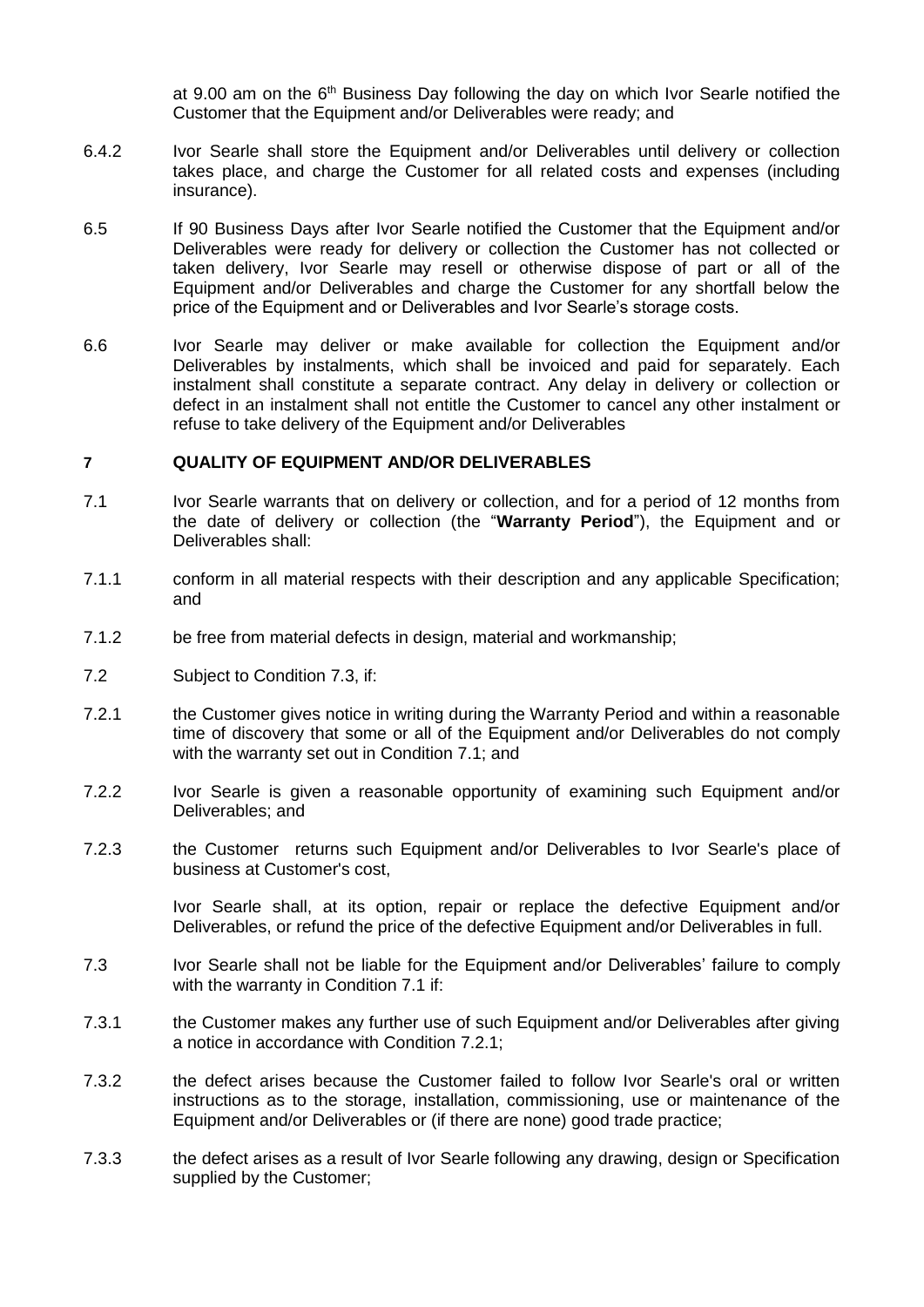at 9.00 am on the  $6<sup>th</sup>$  Business Day following the day on which Ivor Searle notified the Customer that the Equipment and/or Deliverables were ready; and

- 6.4.2 Ivor Searle shall store the Equipment and/or Deliverables until delivery or collection takes place, and charge the Customer for all related costs and expenses (including insurance).
- 6.5 If 90 Business Days after Ivor Searle notified the Customer that the Equipment and/or Deliverables were ready for delivery or collection the Customer has not collected or taken delivery, Ivor Searle may resell or otherwise dispose of part or all of the Equipment and/or Deliverables and charge the Customer for any shortfall below the price of the Equipment and or Deliverables and Ivor Searle's storage costs.
- 6.6 Ivor Searle may deliver or make available for collection the Equipment and/or Deliverables by instalments, which shall be invoiced and paid for separately. Each instalment shall constitute a separate contract. Any delay in delivery or collection or defect in an instalment shall not entitle the Customer to cancel any other instalment or refuse to take delivery of the Equipment and/or Deliverables

#### <span id="page-4-3"></span>**7 QUALITY OF EQUIPMENT AND/OR DELIVERABLES**

- <span id="page-4-1"></span>7.1 Ivor Searle warrants that on delivery or collection, and for a period of 12 months from the date of delivery or collection (the "**Warranty Period**"), the Equipment and or Deliverables shall:
- 7.1.1 conform in all material respects with their description and any applicable Specification; and
- 7.1.2 be free from material defects in design, material and workmanship;
- <span id="page-4-4"></span>7.2 Subject to Condition [7.3,](#page-4-0) if:
- <span id="page-4-2"></span>7.2.1 the Customer gives notice in writing during the Warranty Period and within a reasonable time of discovery that some or all of the Equipment and/or Deliverables do not comply with the warranty set out in Condition [7.1;](#page-4-1) and
- 7.2.2 Ivor Searle is given a reasonable opportunity of examining such Equipment and/or Deliverables; and
- 7.2.3 the Customer returns such Equipment and/or Deliverables to Ivor Searle's place of business at Customer's cost,

Ivor Searle shall, at its option, repair or replace the defective Equipment and/or Deliverables, or refund the price of the defective Equipment and/or Deliverables in full.

- <span id="page-4-0"></span>7.3 Ivor Searle shall not be liable for the Equipment and/or Deliverables' failure to comply with the warranty in Condition [7.1](#page-4-1) if:
- 7.3.1 the Customer makes any further use of such Equipment and/or Deliverables after giving a notice in accordance with Condition [7.2.1;](#page-4-2)
- 7.3.2 the defect arises because the Customer failed to follow Ivor Searle's oral or written instructions as to the storage, installation, commissioning, use or maintenance of the Equipment and/or Deliverables or (if there are none) good trade practice;
- 7.3.3 the defect arises as a result of Ivor Searle following any drawing, design or Specification supplied by the Customer;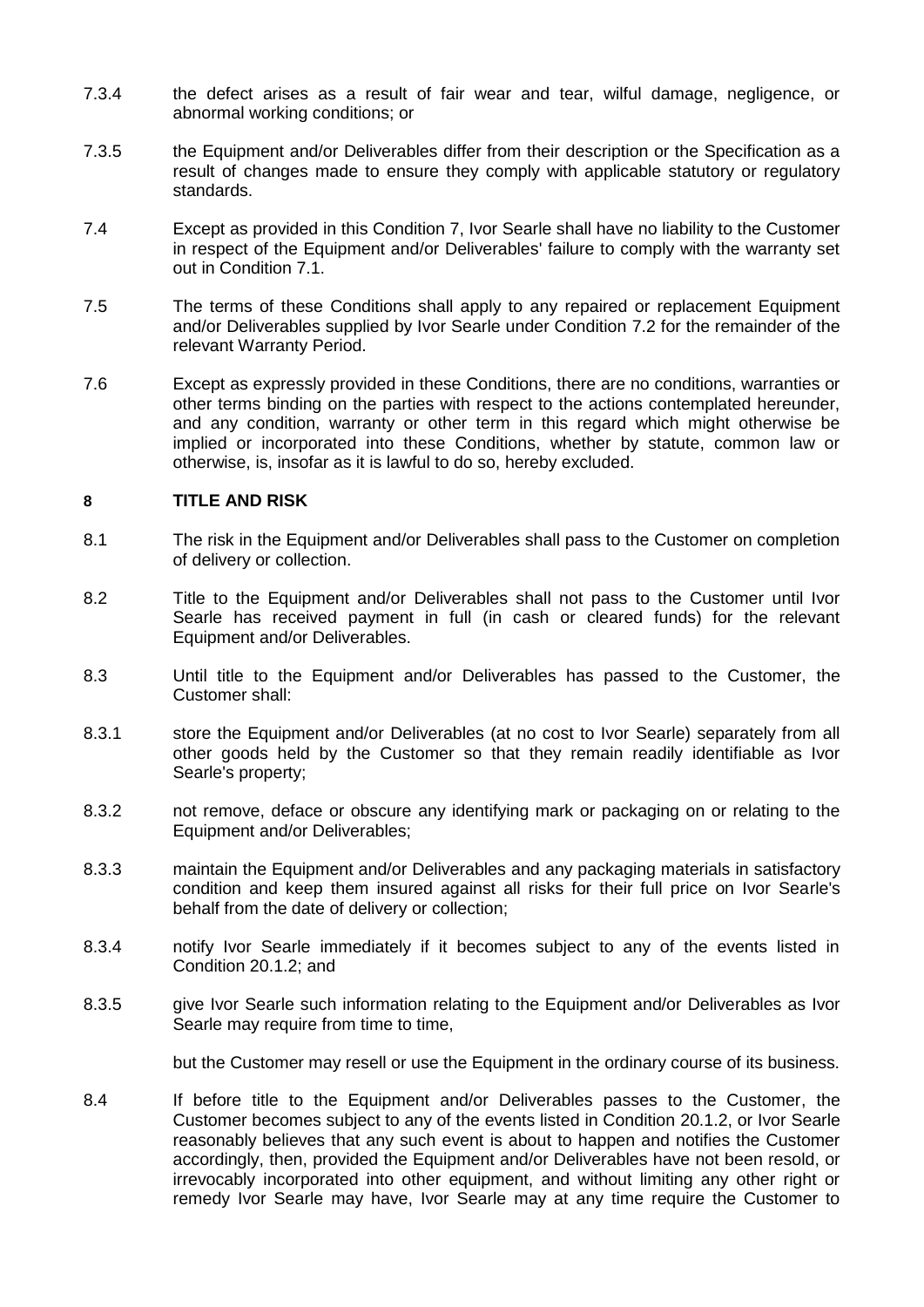- 7.3.4 the defect arises as a result of fair wear and tear, wilful damage, negligence, or abnormal working conditions; or
- 7.3.5 the Equipment and/or Deliverables differ from their description or the Specification as a result of changes made to ensure they comply with applicable statutory or regulatory standards.
- 7.4 Except as provided in this Condition [7,](#page-4-3) Ivor Searle shall have no liability to the Customer in respect of the Equipment and/or Deliverables' failure to comply with the warranty set out in Condition [7.1.](#page-4-1)
- 7.5 The terms of these Conditions shall apply to any repaired or replacement Equipment and/or Deliverables supplied by Ivor Searle under Condition [7.2](#page-4-4) for the remainder of the relevant Warranty Period.
- 7.6 Except as expressly provided in these Conditions, there are no conditions, warranties or other terms binding on the parties with respect to the actions contemplated hereunder, and any condition, warranty or other term in this regard which might otherwise be implied or incorporated into these Conditions, whether by statute, common law or otherwise, is, insofar as it is lawful to do so, hereby excluded.

# **8 TITLE AND RISK**

- 8.1 The risk in the Equipment and/or Deliverables shall pass to the Customer on completion of delivery or collection.
- 8.2 Title to the Equipment and/or Deliverables shall not pass to the Customer until Ivor Searle has received payment in full (in cash or cleared funds) for the relevant Equipment and/or Deliverables.
- 8.3 Until title to the Equipment and/or Deliverables has passed to the Customer, the Customer shall:
- 8.3.1 store the Equipment and/or Deliverables (at no cost to Ivor Searle) separately from all other goods held by the Customer so that they remain readily identifiable as Ivor Searle's property;
- 8.3.2 not remove, deface or obscure any identifying mark or packaging on or relating to the Equipment and/or Deliverables;
- 8.3.3 maintain the Equipment and/or Deliverables and any packaging materials in satisfactory condition and keep them insured against all risks for their full price on Ivor Searle's behalf from the date of delivery or collection;
- 8.3.4 notify Ivor Searle immediately if it becomes subject to any of the events listed in Condition [20.1.2;](#page-11-0) and
- 8.3.5 give Ivor Searle such information relating to the Equipment and/or Deliverables as Ivor Searle may require from time to time,

but the Customer may resell or use the Equipment in the ordinary course of its business.

8.4 If before title to the Equipment and/or Deliverables passes to the Customer, the Customer becomes subject to any of the events listed in Condition [20.1.2,](#page-11-0) or Ivor Searle reasonably believes that any such event is about to happen and notifies the Customer accordingly, then, provided the Equipment and/or Deliverables have not been resold, or irrevocably incorporated into other equipment, and without limiting any other right or remedy Ivor Searle may have, Ivor Searle may at any time require the Customer to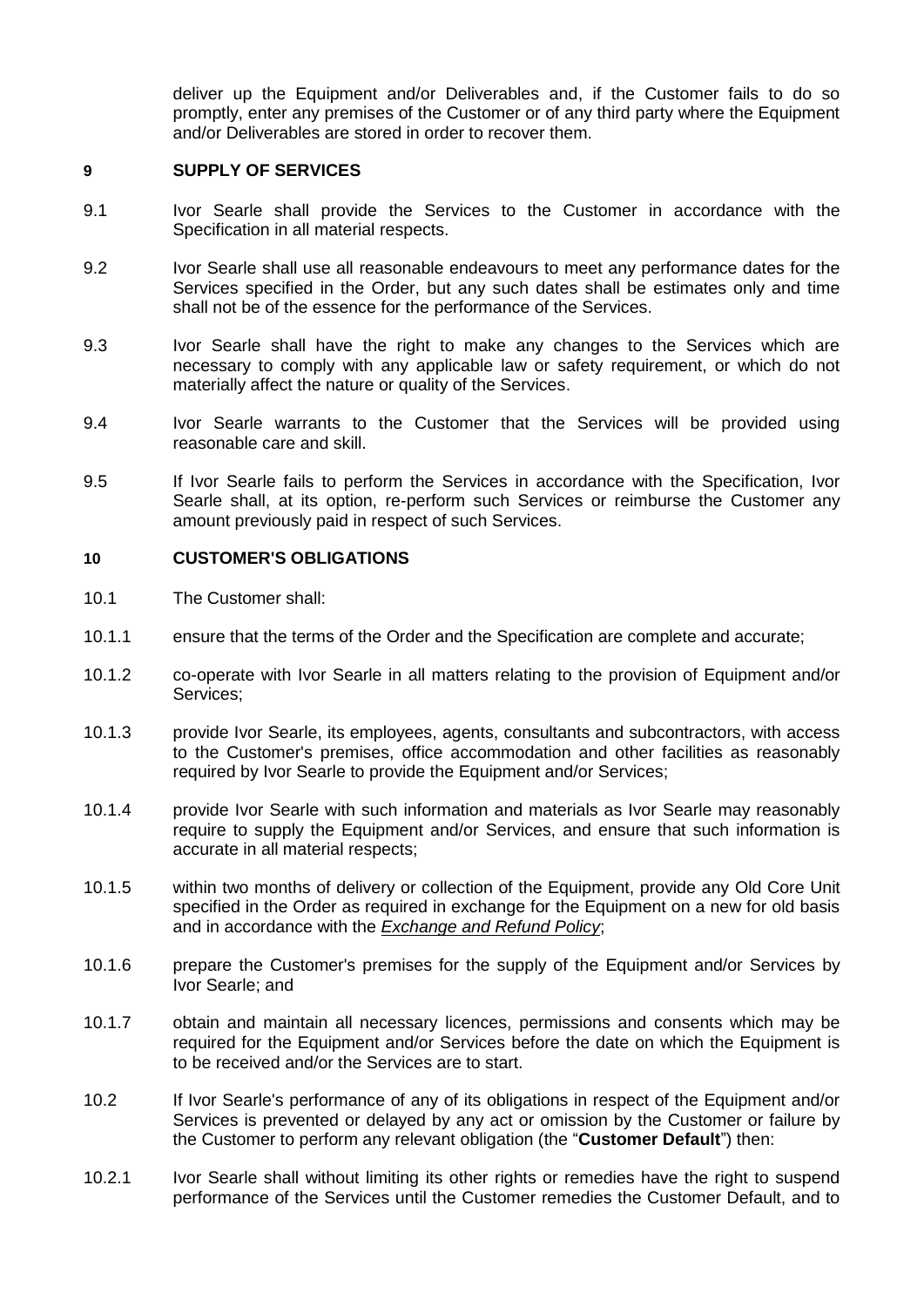deliver up the Equipment and/or Deliverables and, if the Customer fails to do so promptly, enter any premises of the Customer or of any third party where the Equipment and/or Deliverables are stored in order to recover them.

#### **9 SUPPLY OF SERVICES**

- 9.1 Ivor Searle shall provide the Services to the Customer in accordance with the Specification in all material respects.
- 9.2 Ivor Searle shall use all reasonable endeavours to meet any performance dates for the Services specified in the Order, but any such dates shall be estimates only and time shall not be of the essence for the performance of the Services.
- 9.3 Ivor Searle shall have the right to make any changes to the Services which are necessary to comply with any applicable law or safety requirement, or which do not materially affect the nature or quality of the Services.
- 9.4 Ivor Searle warrants to the Customer that the Services will be provided using reasonable care and skill.
- 9.5 If Ivor Searle fails to perform the Services in accordance with the Specification, Ivor Searle shall, at its option, re-perform such Services or reimburse the Customer any amount previously paid in respect of such Services.

### **10 CUSTOMER'S OBLIGATIONS**

- 10.1 The Customer shall:
- 10.1.1 ensure that the terms of the Order and the Specification are complete and accurate;
- 10.1.2 co-operate with Ivor Searle in all matters relating to the provision of Equipment and/or Services;
- 10.1.3 provide Ivor Searle, its employees, agents, consultants and subcontractors, with access to the Customer's premises, office accommodation and other facilities as reasonably required by Ivor Searle to provide the Equipment and/or Services;
- 10.1.4 provide Ivor Searle with such information and materials as Ivor Searle may reasonably require to supply the Equipment and/or Services, and ensure that such information is accurate in all material respects;
- <span id="page-6-0"></span>10.1.5 within two months of delivery or collection of the Equipment, provide any Old Core Unit specified in the Order as required in exchange for the Equipment on a new for old basis and in accordance with the *Exchange and Refund Policy*;
- 10.1.6 prepare the Customer's premises for the supply of the Equipment and/or Services by Ivor Searle; and
- 10.1.7 obtain and maintain all necessary licences, permissions and consents which may be required for the Equipment and/or Services before the date on which the Equipment is to be received and/or the Services are to start.
- 10.2 If Ivor Searle's performance of any of its obligations in respect of the Equipment and/or Services is prevented or delayed by any act or omission by the Customer or failure by the Customer to perform any relevant obligation (the "**Customer Default**") then:
- 10.2.1 Ivor Searle shall without limiting its other rights or remedies have the right to suspend performance of the Services until the Customer remedies the Customer Default, and to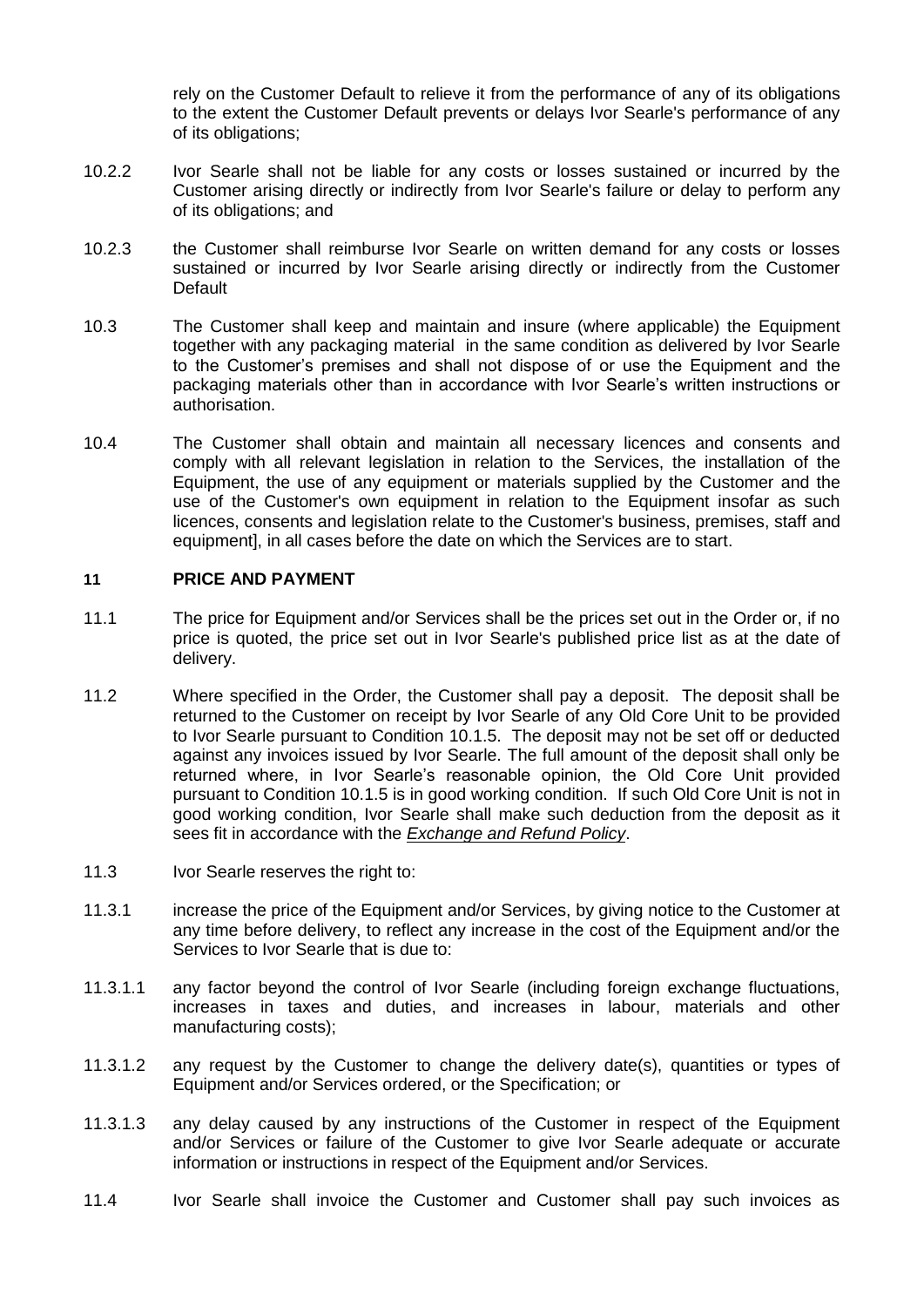rely on the Customer Default to relieve it from the performance of any of its obligations to the extent the Customer Default prevents or delays Ivor Searle's performance of any of its obligations;

- 10.2.2 Ivor Searle shall not be liable for any costs or losses sustained or incurred by the Customer arising directly or indirectly from Ivor Searle's failure or delay to perform any of its obligations; and
- 10.2.3 the Customer shall reimburse Ivor Searle on written demand for any costs or losses sustained or incurred by Ivor Searle arising directly or indirectly from the Customer Default
- 10.3 The Customer shall keep and maintain and insure (where applicable) the Equipment together with any packaging material in the same condition as delivered by Ivor Searle to the Customer's premises and shall not dispose of or use the Equipment and the packaging materials other than in accordance with Ivor Searle's written instructions or authorisation.
- 10.4 The Customer shall obtain and maintain all necessary licences and consents and comply with all relevant legislation in relation to the Services, the installation of the Equipment, the use of any equipment or materials supplied by the Customer and the use of the Customer's own equipment in relation to the Equipment insofar as such licences, consents and legislation relate to the Customer's business, premises, staff and equipment], in all cases before the date on which the Services are to start.

### **11 PRICE AND PAYMENT**

- 11.1 The price for Equipment and/or Services shall be the prices set out in the Order or, if no price is quoted, the price set out in Ivor Searle's published price list as at the date of delivery.
- 11.2 Where specified in the Order, the Customer shall pay a deposit. The deposit shall be returned to the Customer on receipt by Ivor Searle of any Old Core Unit to be provided to Ivor Searle pursuant to Condition [10.1.5.](#page-6-0) The deposit may not be set off or deducted against any invoices issued by Ivor Searle. The full amount of the deposit shall only be returned where, in Ivor Searle's reasonable opinion, the Old Core Unit provided pursuant to Condition [10.1.5](#page-6-0) is in good working condition. If such Old Core Unit is not in good working condition, Ivor Searle shall make such deduction from the deposit as it sees fit in accordance with the *Exchange and Refund Policy*.
- 11.3 Ivor Searle reserves the right to:
- 11.3.1 increase the price of the Equipment and/or Services, by giving notice to the Customer at any time before delivery, to reflect any increase in the cost of the Equipment and/or the Services to Ivor Searle that is due to:
- 11.3.1.1 any factor beyond the control of Ivor Searle (including foreign exchange fluctuations, increases in taxes and duties, and increases in labour, materials and other manufacturing costs);
- 11.3.1.2 any request by the Customer to change the delivery date(s), quantities or types of Equipment and/or Services ordered, or the Specification; or
- 11.3.1.3 any delay caused by any instructions of the Customer in respect of the Equipment and/or Services or failure of the Customer to give Ivor Searle adequate or accurate information or instructions in respect of the Equipment and/or Services.
- 11.4 Ivor Searle shall invoice the Customer and Customer shall pay such invoices as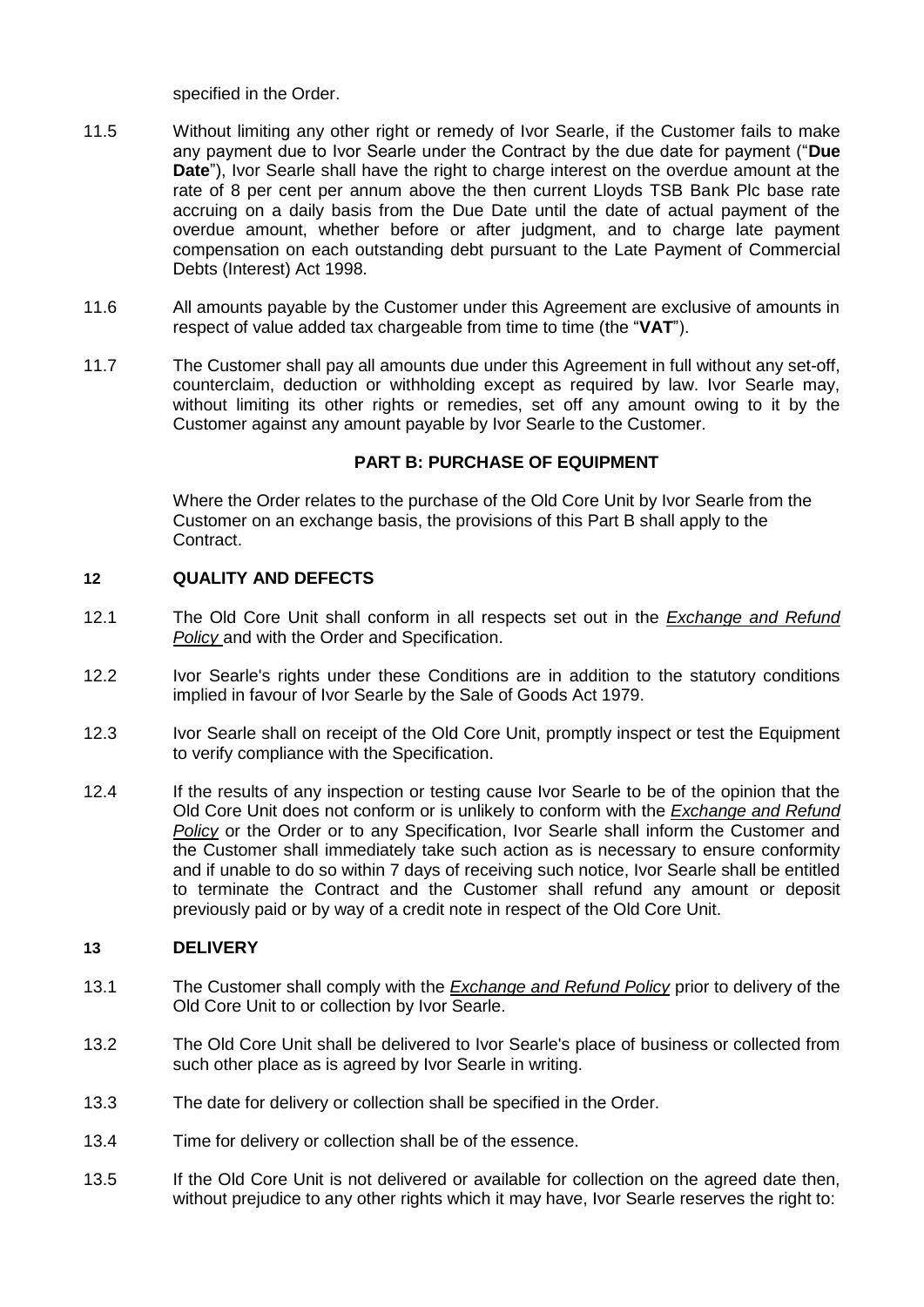specified in the Order.

- 11.5 Without limiting any other right or remedy of Ivor Searle, if the Customer fails to make any payment due to Ivor Searle under the Contract by the due date for payment ("**Due Date**"), Ivor Searle shall have the right to charge interest on the overdue amount at the rate of 8 per cent per annum above the then current Lloyds TSB Bank Plc base rate accruing on a daily basis from the Due Date until the date of actual payment of the overdue amount, whether before or after judgment, and to charge late payment compensation on each outstanding debt pursuant to the Late Payment of Commercial Debts (Interest) Act 1998.
- 11.6 All amounts payable by the Customer under this Agreement are exclusive of amounts in respect of value added tax chargeable from time to time (the "**VAT**").
- 11.7 The Customer shall pay all amounts due under this Agreement in full without any set-off, counterclaim, deduction or withholding except as required by law. Ivor Searle may, without limiting its other rights or remedies, set off any amount owing to it by the Customer against any amount payable by Ivor Searle to the Customer.

## **PART B: PURCHASE OF EQUIPMENT**

Where the Order relates to the purchase of the Old Core Unit by Ivor Searle from the Customer on an exchange basis, the provisions of this Part B shall apply to the Contract.

## **12 QUALITY AND DEFECTS**

- 12.1 The Old Core Unit shall conform in all respects set out in the *Exchange and Refund Policy* and with the Order and Specification.
- 12.2 Ivor Searle's rights under these Conditions are in addition to the statutory conditions implied in favour of Ivor Searle by the Sale of Goods Act 1979.
- 12.3 Ivor Searle shall on receipt of the Old Core Unit, promptly inspect or test the Equipment to verify compliance with the Specification.
- 12.4 If the results of any inspection or testing cause Ivor Searle to be of the opinion that the Old Core Unit does not conform or is unlikely to conform with the *Exchange and Refund Policy* or the Order or to any Specification, Ivor Searle shall inform the Customer and the Customer shall immediately take such action as is necessary to ensure conformity and if unable to do so within 7 days of receiving such notice, Ivor Searle shall be entitled to terminate the Contract and the Customer shall refund any amount or deposit previously paid or by way of a credit note in respect of the Old Core Unit.

## **13 DELIVERY**

- 13.1 The Customer shall comply with the *Exchange and Refund Policy* prior to delivery of the Old Core Unit to or collection by Ivor Searle.
- 13.2 The Old Core Unit shall be delivered to Ivor Searle's place of business or collected from such other place as is agreed by Ivor Searle in writing.
- 13.3 The date for delivery or collection shall be specified in the Order.
- 13.4 Time for delivery or collection shall be of the essence.
- 13.5 If the Old Core Unit is not delivered or available for collection on the agreed date then, without prejudice to any other rights which it may have, Ivor Searle reserves the right to: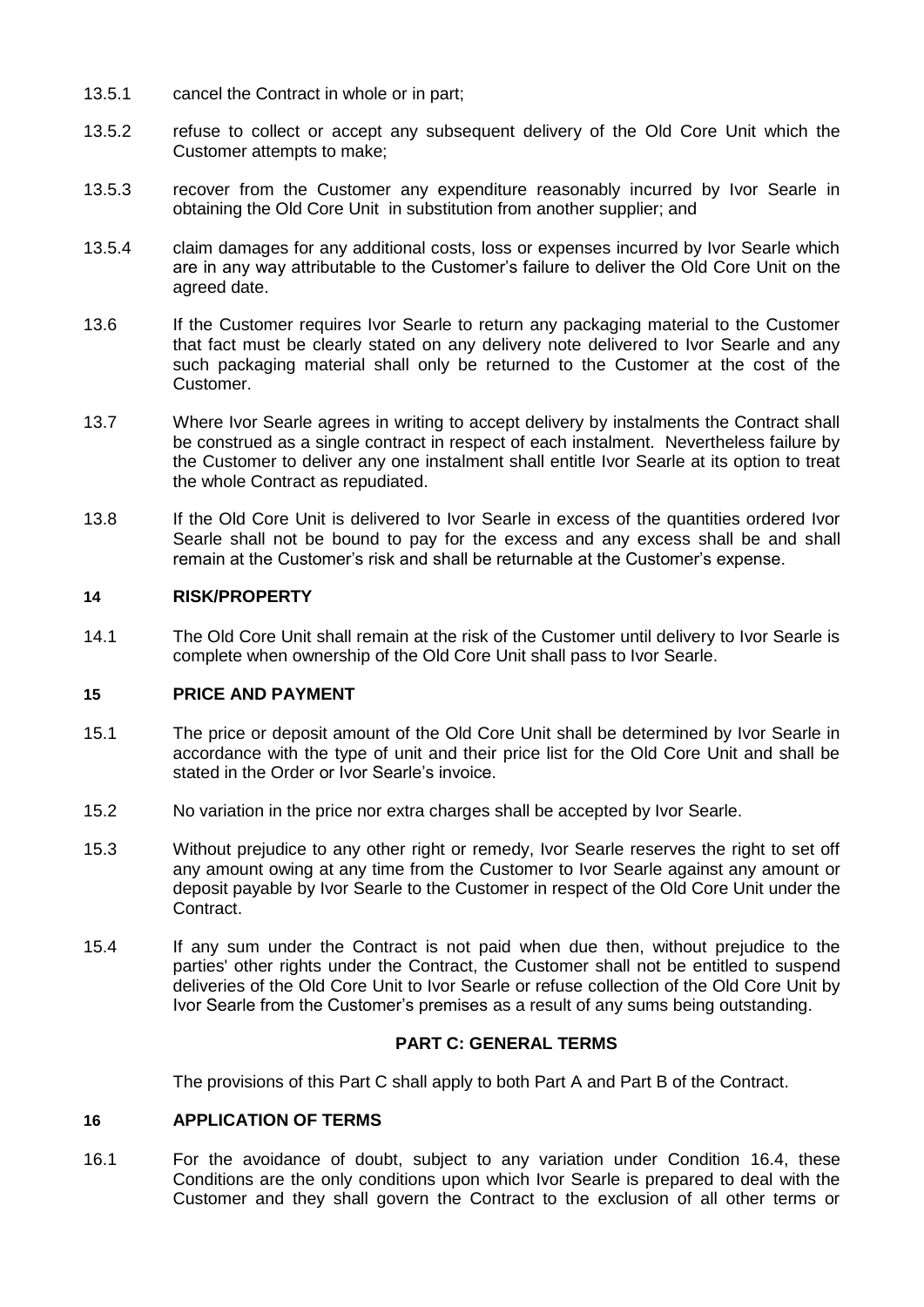- 13.5.1 cancel the Contract in whole or in part;
- 13.5.2 refuse to collect or accept any subsequent delivery of the Old Core Unit which the Customer attempts to make;
- 13.5.3 recover from the Customer any expenditure reasonably incurred by Ivor Searle in obtaining the Old Core Unit in substitution from another supplier; and
- 13.5.4 claim damages for any additional costs, loss or expenses incurred by Ivor Searle which are in any way attributable to the Customer's failure to deliver the Old Core Unit on the agreed date.
- 13.6 If the Customer requires Ivor Searle to return any packaging material to the Customer that fact must be clearly stated on any delivery note delivered to Ivor Searle and any such packaging material shall only be returned to the Customer at the cost of the Customer.
- 13.7 Where Ivor Searle agrees in writing to accept delivery by instalments the Contract shall be construed as a single contract in respect of each instalment. Nevertheless failure by the Customer to deliver any one instalment shall entitle Ivor Searle at its option to treat the whole Contract as repudiated.
- 13.8 If the Old Core Unit is delivered to Ivor Searle in excess of the quantities ordered Ivor Searle shall not be bound to pay for the excess and any excess shall be and shall remain at the Customer's risk and shall be returnable at the Customer's expense.

## **14 RISK/PROPERTY**

14.1 The Old Core Unit shall remain at the risk of the Customer until delivery to Ivor Searle is complete when ownership of the Old Core Unit shall pass to Ivor Searle.

### **15 PRICE AND PAYMENT**

- 15.1 The price or deposit amount of the Old Core Unit shall be determined by Ivor Searle in accordance with the type of unit and their price list for the Old Core Unit and shall be stated in the Order or Ivor Searle's invoice.
- 15.2 No variation in the price nor extra charges shall be accepted by Ivor Searle.
- 15.3 Without prejudice to any other right or remedy, Ivor Searle reserves the right to set off any amount owing at any time from the Customer to Ivor Searle against any amount or deposit payable by Ivor Searle to the Customer in respect of the Old Core Unit under the Contract.
- 15.4 If any sum under the Contract is not paid when due then, without prejudice to the parties' other rights under the Contract, the Customer shall not be entitled to suspend deliveries of the Old Core Unit to Ivor Searle or refuse collection of the Old Core Unit by Ivor Searle from the Customer's premises as a result of any sums being outstanding.

### **PART C: GENERAL TERMS**

The provisions of this Part C shall apply to both Part A and Part B of the Contract.

#### **16 APPLICATION OF TERMS**

16.1 For the avoidance of doubt, subject to any variation under Condition [16.4,](#page-10-0) these Conditions are the only conditions upon which Ivor Searle is prepared to deal with the Customer and they shall govern the Contract to the exclusion of all other terms or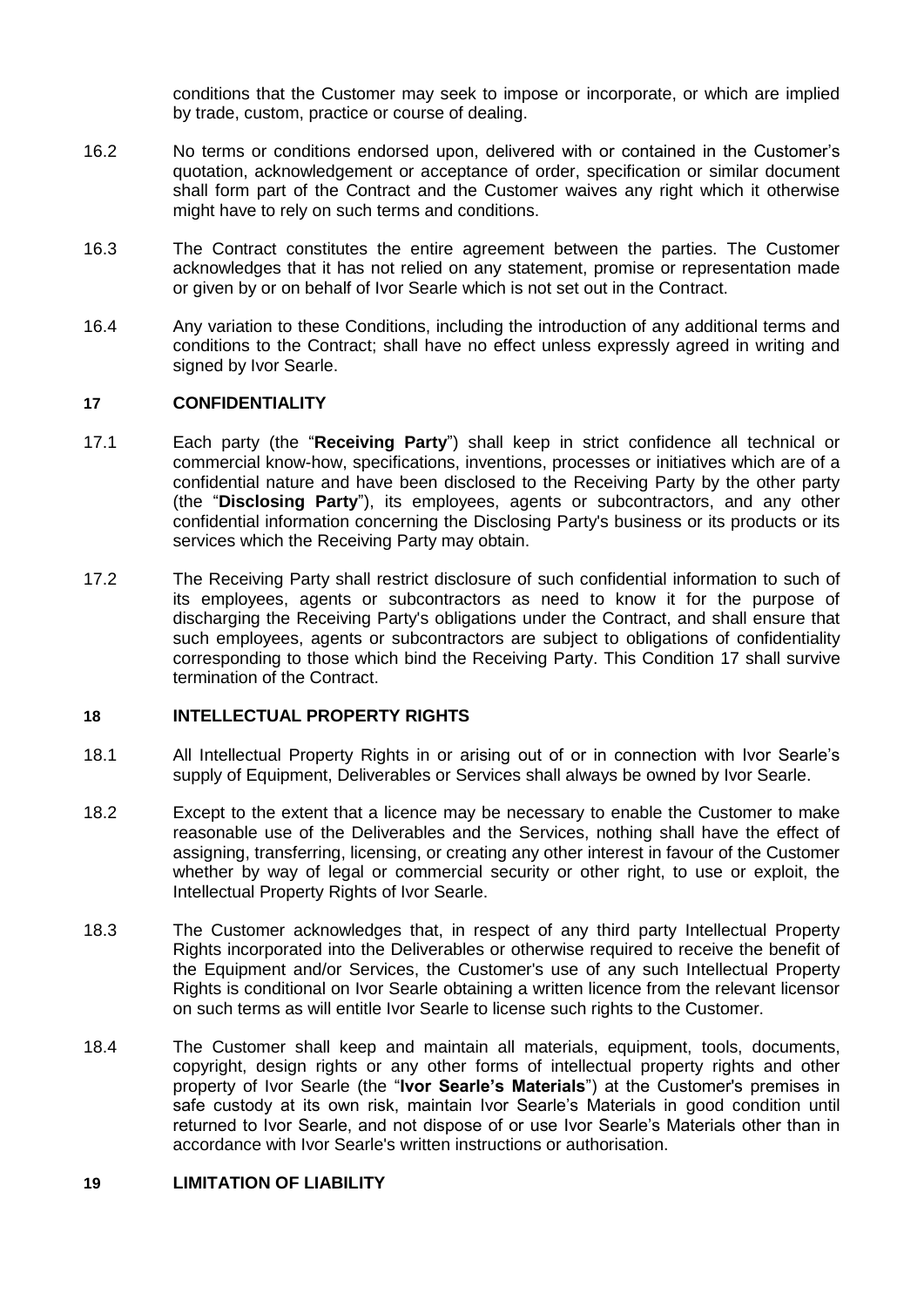conditions that the Customer may seek to impose or incorporate, or which are implied by trade, custom, practice or course of dealing.

- 16.2 No terms or conditions endorsed upon, delivered with or contained in the Customer's quotation, acknowledgement or acceptance of order, specification or similar document shall form part of the Contract and the Customer waives any right which it otherwise might have to rely on such terms and conditions.
- 16.3 The Contract constitutes the entire agreement between the parties. The Customer acknowledges that it has not relied on any statement, promise or representation made or given by or on behalf of Ivor Searle which is not set out in the Contract.
- <span id="page-10-0"></span>16.4 Any variation to these Conditions, including the introduction of any additional terms and conditions to the Contract; shall have no effect unless expressly agreed in writing and signed by Ivor Searle.

### <span id="page-10-1"></span>**17 CONFIDENTIALITY**

- 17.1 Each party (the "**Receiving Party**") shall keep in strict confidence all technical or commercial know-how, specifications, inventions, processes or initiatives which are of a confidential nature and have been disclosed to the Receiving Party by the other party (the "**Disclosing Party**"), its employees, agents or subcontractors, and any other confidential information concerning the Disclosing Party's business or its products or its services which the Receiving Party may obtain.
- 17.2 The Receiving Party shall restrict disclosure of such confidential information to such of its employees, agents or subcontractors as need to know it for the purpose of discharging the Receiving Party's obligations under the Contract, and shall ensure that such employees, agents or subcontractors are subject to obligations of confidentiality corresponding to those which bind the Receiving Party. This Condition [17](#page-10-1) shall survive termination of the Contract.

#### **18 INTELLECTUAL PROPERTY RIGHTS**

- 18.1 All Intellectual Property Rights in or arising out of or in connection with Ivor Searle's supply of Equipment, Deliverables or Services shall always be owned by Ivor Searle.
- 18.2 Except to the extent that a licence may be necessary to enable the Customer to make reasonable use of the Deliverables and the Services, nothing shall have the effect of assigning, transferring, licensing, or creating any other interest in favour of the Customer whether by way of legal or commercial security or other right, to use or exploit, the Intellectual Property Rights of Ivor Searle.
- 18.3 The Customer acknowledges that, in respect of any third party Intellectual Property Rights incorporated into the Deliverables or otherwise required to receive the benefit of the Equipment and/or Services, the Customer's use of any such Intellectual Property Rights is conditional on Ivor Searle obtaining a written licence from the relevant licensor on such terms as will entitle Ivor Searle to license such rights to the Customer.
- 18.4 The Customer shall keep and maintain all materials, equipment, tools, documents, copyright, design rights or any other forms of intellectual property rights and other property of Ivor Searle (the "**Ivor Searle's Materials**") at the Customer's premises in safe custody at its own risk, maintain Ivor Searle's Materials in good condition until returned to Ivor Searle, and not dispose of or use Ivor Searle's Materials other than in accordance with Ivor Searle's written instructions or authorisation.

# <span id="page-10-2"></span>**19 LIMITATION OF LIABILITY**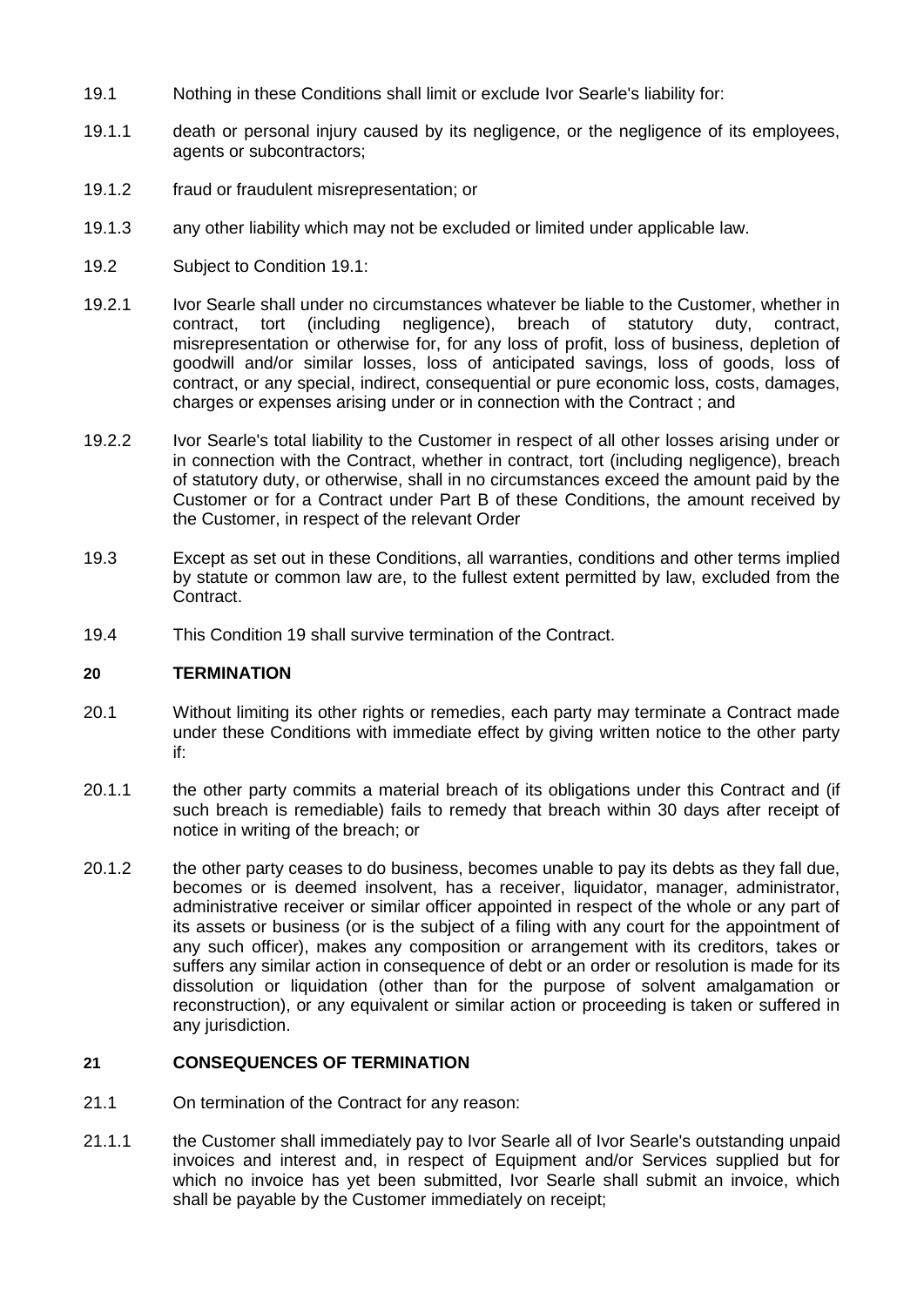- <span id="page-11-1"></span>19.1 Nothing in these Conditions shall limit or exclude Ivor Searle's liability for:
- 19.1.1 death or personal injury caused by its negligence, or the negligence of its employees, agents or subcontractors;
- 19.1.2 fraud or fraudulent misrepresentation; or
- 19.1.3 any other liability which may not be excluded or limited under applicable law.
- 19.2 Subject to Condition [19.1:](#page-11-1)
- 19.2.1 Ivor Searle shall under no circumstances whatever be liable to the Customer, whether in contract, tort (including negligence), breach of statutory duty, contract, misrepresentation or otherwise for, for any loss of profit, loss of business, depletion of goodwill and/or similar losses, loss of anticipated savings, loss of goods, loss of contract, or any special, indirect, consequential or pure economic loss, costs, damages, charges or expenses arising under or in connection with the Contract ; and
- 19.2.2 Ivor Searle's total liability to the Customer in respect of all other losses arising under or in connection with the Contract, whether in contract, tort (including negligence), breach of statutory duty, or otherwise, shall in no circumstances exceed the amount paid by the Customer or for a Contract under Part B of these Conditions, the amount received by the Customer, in respect of the relevant Order
- 19.3 Except as set out in these Conditions, all warranties, conditions and other terms implied by statute or common law are, to the fullest extent permitted by law, excluded from the Contract.
- 19.4 This Condition [19](#page-10-2) shall survive termination of the Contract.

## **20 TERMINATION**

- 20.1 Without limiting its other rights or remedies, each party may terminate a Contract made under these Conditions with immediate effect by giving written notice to the other party if:
- 20.1.1 the other party commits a material breach of its obligations under this Contract and (if such breach is remediable) fails to remedy that breach within 30 days after receipt of notice in writing of the breach; or
- <span id="page-11-0"></span>20.1.2 the other party ceases to do business, becomes unable to pay its debts as they fall due, becomes or is deemed insolvent, has a receiver, liquidator, manager, administrator, administrative receiver or similar officer appointed in respect of the whole or any part of its assets or business (or is the subject of a filing with any court for the appointment of any such officer), makes any composition or arrangement with its creditors, takes or suffers any similar action in consequence of debt or an order or resolution is made for its dissolution or liquidation (other than for the purpose of solvent amalgamation or reconstruction), or any equivalent or similar action or proceeding is taken or suffered in any jurisdiction.

# **21 CONSEQUENCES OF TERMINATION**

- 21.1 On termination of the Contract for any reason:
- 21.1.1 the Customer shall immediately pay to Ivor Searle all of Ivor Searle's outstanding unpaid invoices and interest and, in respect of Equipment and/or Services supplied but for which no invoice has yet been submitted, Ivor Searle shall submit an invoice, which shall be payable by the Customer immediately on receipt;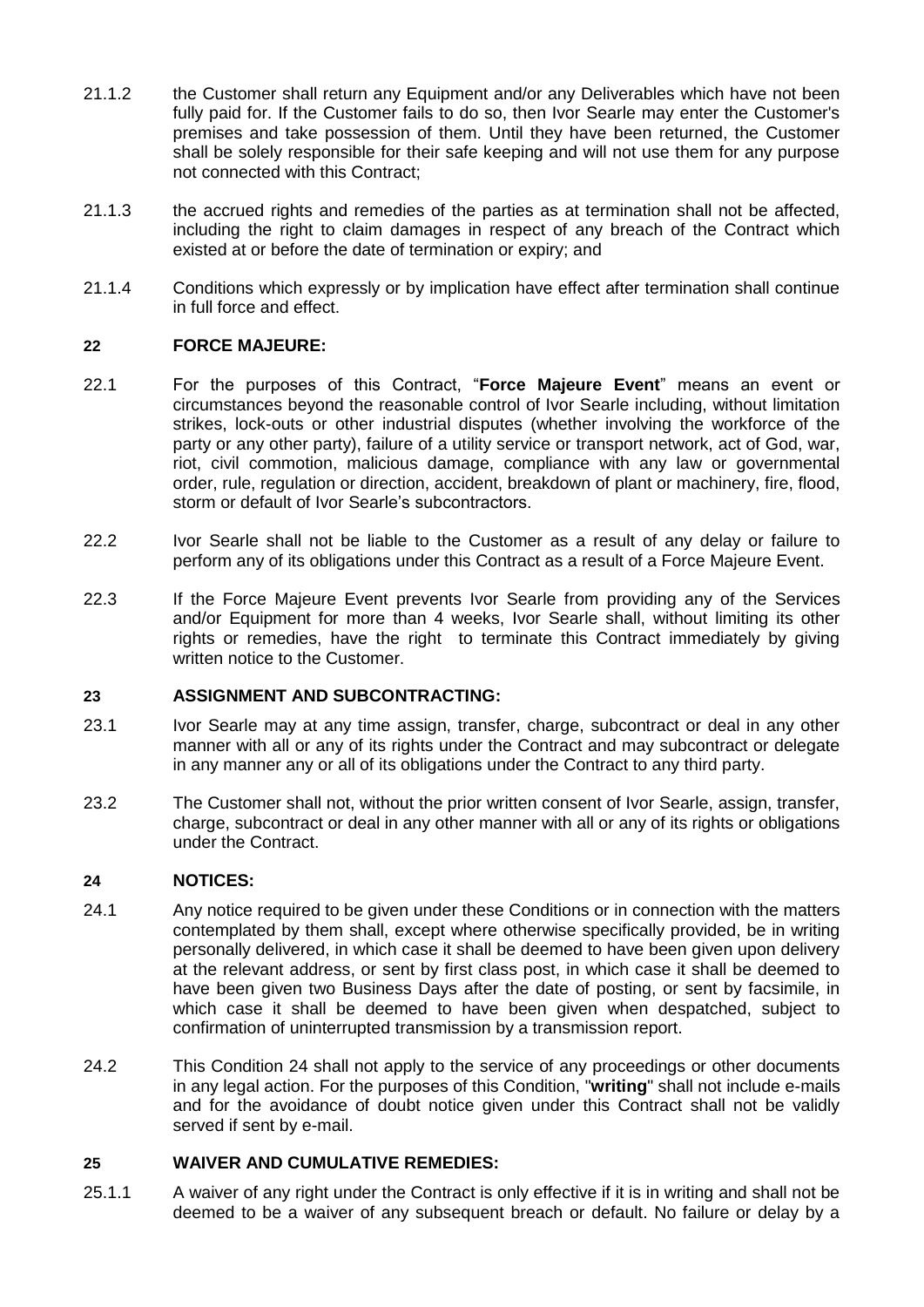- 21.1.2 the Customer shall return any Equipment and/or any Deliverables which have not been fully paid for. If the Customer fails to do so, then Ivor Searle may enter the Customer's premises and take possession of them. Until they have been returned, the Customer shall be solely responsible for their safe keeping and will not use them for any purpose not connected with this Contract;
- 21.1.3 the accrued rights and remedies of the parties as at termination shall not be affected, including the right to claim damages in respect of any breach of the Contract which existed at or before the date of termination or expiry; and
- 21.1.4 Conditions which expressly or by implication have effect after termination shall continue in full force and effect.

## **22 FORCE MAJEURE:**

- <span id="page-12-0"></span>22.1 For the purposes of this Contract, "**Force Majeure Event**" means an event or circumstances beyond the reasonable control of Ivor Searle including, without limitation strikes, lock-outs or other industrial disputes (whether involving the workforce of the party or any other party), failure of a utility service or transport network, act of God, war, riot, civil commotion, malicious damage, compliance with any law or governmental order, rule, regulation or direction, accident, breakdown of plant or machinery, fire, flood, storm or default of Ivor Searle's subcontractors.
- 22.2 Ivor Searle shall not be liable to the Customer as a result of any delay or failure to perform any of its obligations under this Contract as a result of a Force Majeure Event.
- 22.3 If the Force Majeure Event prevents Ivor Searle from providing any of the Services and/or Equipment for more than 4 weeks, Ivor Searle shall, without limiting its other rights or remedies, have the right to terminate this Contract immediately by giving written notice to the Customer.

## **23 ASSIGNMENT AND SUBCONTRACTING:**

- 23.1 Ivor Searle may at any time assign, transfer, charge, subcontract or deal in any other manner with all or any of its rights under the Contract and may subcontract or delegate in any manner any or all of its obligations under the Contract to any third party.
- 23.2 The Customer shall not, without the prior written consent of Ivor Searle, assign, transfer, charge, subcontract or deal in any other manner with all or any of its rights or obligations under the Contract.

## <span id="page-12-1"></span>**24 NOTICES:**

- 24.1 Any notice required to be given under these Conditions or in connection with the matters contemplated by them shall, except where otherwise specifically provided, be in writing personally delivered, in which case it shall be deemed to have been given upon delivery at the relevant address, or sent by first class post, in which case it shall be deemed to have been given two Business Days after the date of posting, or sent by facsimile, in which case it shall be deemed to have been given when despatched, subject to confirmation of uninterrupted transmission by a transmission report.
- 24.2 This Condition [24](#page-12-1) shall not apply to the service of any proceedings or other documents in any legal action. For the purposes of this Condition, "**writing**" shall not include e-mails and for the avoidance of doubt notice given under this Contract shall not be validly served if sent by e-mail.

## **25 WAIVER AND CUMULATIVE REMEDIES:**

25.1.1 A waiver of any right under the Contract is only effective if it is in writing and shall not be deemed to be a waiver of any subsequent breach or default. No failure or delay by a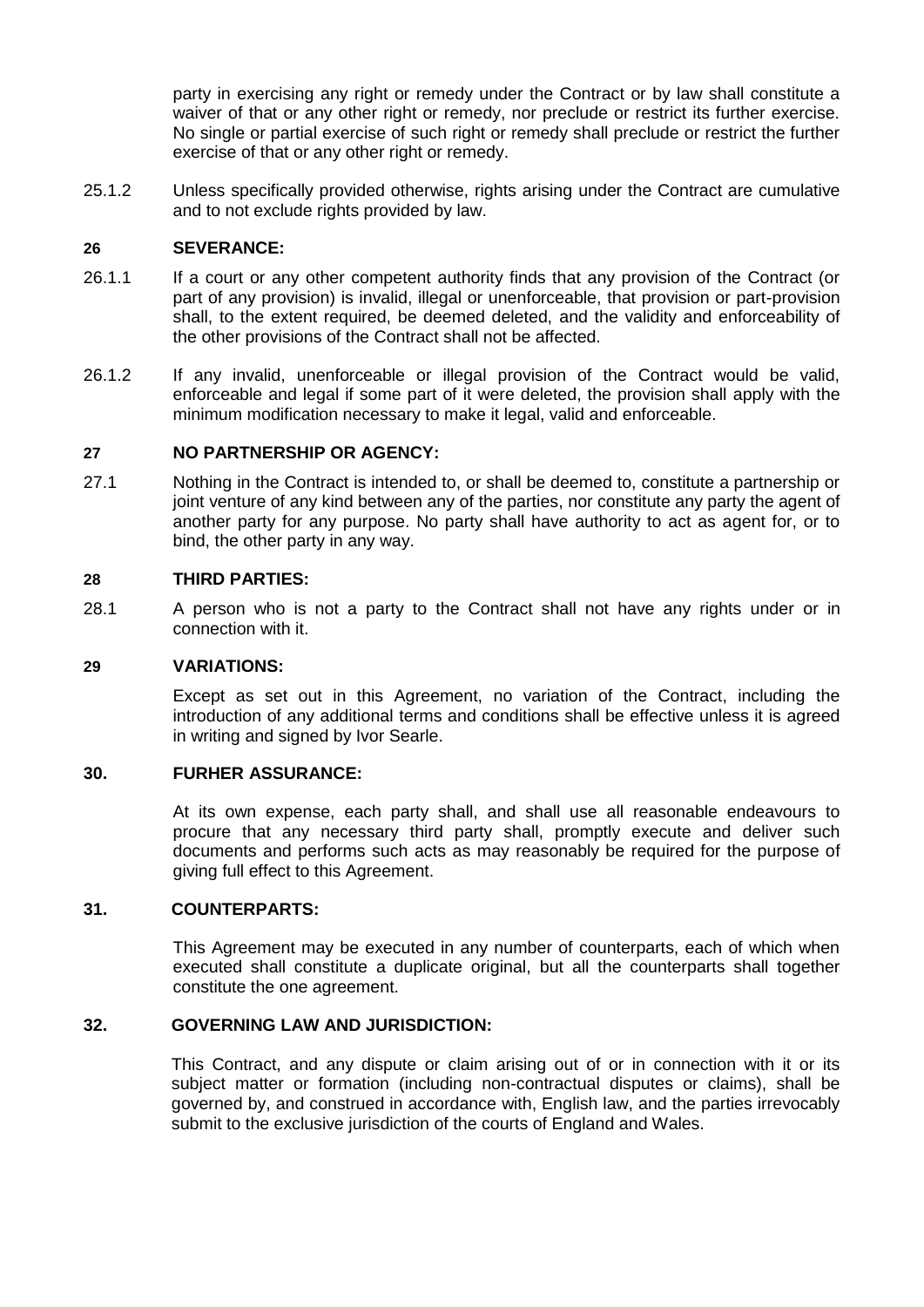party in exercising any right or remedy under the Contract or by law shall constitute a waiver of that or any other right or remedy, nor preclude or restrict its further exercise. No single or partial exercise of such right or remedy shall preclude or restrict the further exercise of that or any other right or remedy.

25.1.2 Unless specifically provided otherwise, rights arising under the Contract are cumulative and to not exclude rights provided by law.

### **26 SEVERANCE:**

- 26.1.1 If a court or any other competent authority finds that any provision of the Contract (or part of any provision) is invalid, illegal or unenforceable, that provision or part-provision shall, to the extent required, be deemed deleted, and the validity and enforceability of the other provisions of the Contract shall not be affected.
- 26.1.2 If any invalid, unenforceable or illegal provision of the Contract would be valid, enforceable and legal if some part of it were deleted, the provision shall apply with the minimum modification necessary to make it legal, valid and enforceable.

### **27 NO PARTNERSHIP OR AGENCY:**

27.1 Nothing in the Contract is intended to, or shall be deemed to, constitute a partnership or joint venture of any kind between any of the parties, nor constitute any party the agent of another party for any purpose. No party shall have authority to act as agent for, or to bind, the other party in any way.

#### **28 THIRD PARTIES:**

28.1 A person who is not a party to the Contract shall not have any rights under or in connection with it.

#### **29 VARIATIONS:**

Except as set out in this Agreement, no variation of the Contract, including the introduction of any additional terms and conditions shall be effective unless it is agreed in writing and signed by Ivor Searle.

### **30. FURHER ASSURANCE:**

At its own expense, each party shall, and shall use all reasonable endeavours to procure that any necessary third party shall, promptly execute and deliver such documents and performs such acts as may reasonably be required for the purpose of giving full effect to this Agreement.

## **31. COUNTERPARTS:**

This Agreement may be executed in any number of counterparts, each of which when executed shall constitute a duplicate original, but all the counterparts shall together constitute the one agreement.

#### **32. GOVERNING LAW AND JURISDICTION:**

This Contract, and any dispute or claim arising out of or in connection with it or its subject matter or formation (including non-contractual disputes or claims), shall be governed by, and construed in accordance with, English law, and the parties irrevocably submit to the exclusive jurisdiction of the courts of England and Wales.